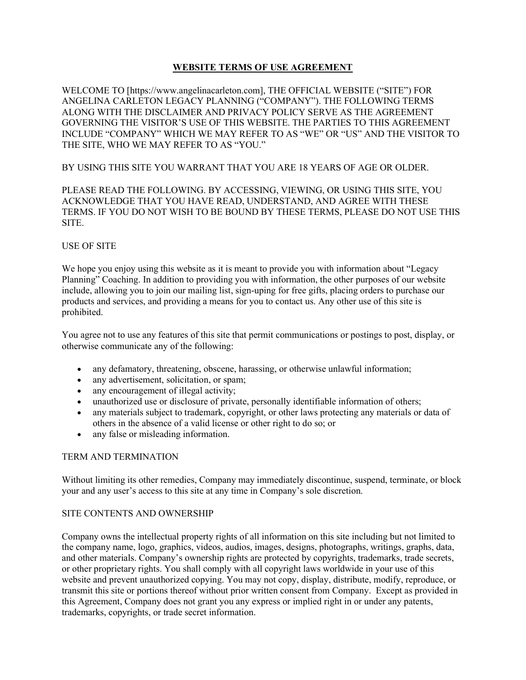# WEBSITE TERMS OF USE AGREEMENT

WELCOME TO [https://www.angelinacarleton.com], THE OFFICIAL WEBSITE ("SITE") FOR ANGELINA CARLETON LEGACY PLANNING ("COMPANY"). THE FOLLOWING TERMS ALONG WITH THE DISCLAIMER AND PRIVACY POLICY SERVE AS THE AGREEMENT GOVERNING THE VISITOR'S USE OF THIS WEBSITE. THE PARTIES TO THIS AGREEMENT INCLUDE "COMPANY" WHICH WE MAY REFER TO AS "WE" OR "US" AND THE VISITOR TO THE SITE, WHO WE MAY REFER TO AS "YOU."

## BY USING THIS SITE YOU WARRANT THAT YOU ARE 18 YEARS OF AGE OR OLDER.

## PLEASE READ THE FOLLOWING. BY ACCESSING, VIEWING, OR USING THIS SITE, YOU ACKNOWLEDGE THAT YOU HAVE READ, UNDERSTAND, AND AGREE WITH THESE TERMS. IF YOU DO NOT WISH TO BE BOUND BY THESE TERMS, PLEASE DO NOT USE THIS SITE.

### USE OF SITE

We hope you enjoy using this website as it is meant to provide you with information about "Legacy Planning" Coaching. In addition to providing you with information, the other purposes of our website include, allowing you to join our mailing list, sign-uping for free gifts, placing orders to purchase our products and services, and providing a means for you to contact us. Any other use of this site is prohibited.

You agree not to use any features of this site that permit communications or postings to post, display, or otherwise communicate any of the following:

- any defamatory, threatening, obscene, harassing, or otherwise unlawful information;
- any advertisement, solicitation, or spam;
- any encouragement of illegal activity;
- unauthorized use or disclosure of private, personally identifiable information of others;
- any materials subject to trademark, copyright, or other laws protecting any materials or data of others in the absence of a valid license or other right to do so; or
- any false or misleading information.

#### TERM AND TERMINATION

Without limiting its other remedies, Company may immediately discontinue, suspend, terminate, or block your and any user's access to this site at any time in Company's sole discretion.

#### SITE CONTENTS AND OWNERSHIP

Company owns the intellectual property rights of all information on this site including but not limited to the company name, logo, graphics, videos, audios, images, designs, photographs, writings, graphs, data, and other materials. Company's ownership rights are protected by copyrights, trademarks, trade secrets, or other proprietary rights. You shall comply with all copyright laws worldwide in your use of this website and prevent unauthorized copying. You may not copy, display, distribute, modify, reproduce, or transmit this site or portions thereof without prior written consent from Company. Except as provided in this Agreement, Company does not grant you any express or implied right in or under any patents, trademarks, copyrights, or trade secret information.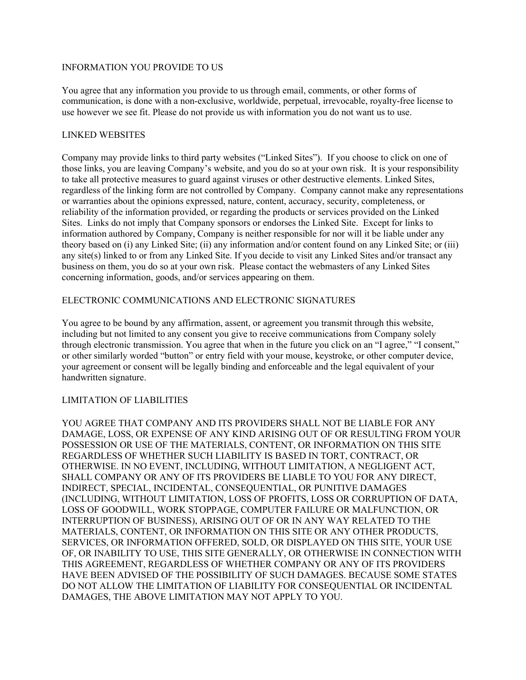### INFORMATION YOU PROVIDE TO US

You agree that any information you provide to us through email, comments, or other forms of communication, is done with a non-exclusive, worldwide, perpetual, irrevocable, royalty-free license to use however we see fit. Please do not provide us with information you do not want us to use.

## LINKED WEBSITES

Company may provide links to third party websites ("Linked Sites"). If you choose to click on one of those links, you are leaving Company's website, and you do so at your own risk. It is your responsibility to take all protective measures to guard against viruses or other destructive elements. Linked Sites, regardless of the linking form are not controlled by Company. Company cannot make any representations or warranties about the opinions expressed, nature, content, accuracy, security, completeness, or reliability of the information provided, or regarding the products or services provided on the Linked Sites. Links do not imply that Company sponsors or endorses the Linked Site. Except for links to information authored by Company, Company is neither responsible for nor will it be liable under any theory based on (i) any Linked Site; (ii) any information and/or content found on any Linked Site; or (iii) any site(s) linked to or from any Linked Site. If you decide to visit any Linked Sites and/or transact any business on them, you do so at your own risk. Please contact the webmasters of any Linked Sites concerning information, goods, and/or services appearing on them.

## ELECTRONIC COMMUNICATIONS AND ELECTRONIC SIGNATURES

You agree to be bound by any affirmation, assent, or agreement you transmit through this website, including but not limited to any consent you give to receive communications from Company solely through electronic transmission. You agree that when in the future you click on an "I agree," "I consent," or other similarly worded "button" or entry field with your mouse, keystroke, or other computer device, your agreement or consent will be legally binding and enforceable and the legal equivalent of your handwritten signature.

## LIMITATION OF LIABILITIES

YOU AGREE THAT COMPANY AND ITS PROVIDERS SHALL NOT BE LIABLE FOR ANY DAMAGE, LOSS, OR EXPENSE OF ANY KIND ARISING OUT OF OR RESULTING FROM YOUR POSSESSION OR USE OF THE MATERIALS, CONTENT, OR INFORMATION ON THIS SITE REGARDLESS OF WHETHER SUCH LIABILITY IS BASED IN TORT, CONTRACT, OR OTHERWISE. IN NO EVENT, INCLUDING, WITHOUT LIMITATION, A NEGLIGENT ACT, SHALL COMPANY OR ANY OF ITS PROVIDERS BE LIABLE TO YOU FOR ANY DIRECT, INDIRECT, SPECIAL, INCIDENTAL, CONSEQUENTIAL, OR PUNITIVE DAMAGES (INCLUDING, WITHOUT LIMITATION, LOSS OF PROFITS, LOSS OR CORRUPTION OF DATA, LOSS OF GOODWILL, WORK STOPPAGE, COMPUTER FAILURE OR MALFUNCTION, OR INTERRUPTION OF BUSINESS), ARISING OUT OF OR IN ANY WAY RELATED TO THE MATERIALS, CONTENT, OR INFORMATION ON THIS SITE OR ANY OTHER PRODUCTS, SERVICES, OR INFORMATION OFFERED, SOLD, OR DISPLAYED ON THIS SITE, YOUR USE OF, OR INABILITY TO USE, THIS SITE GENERALLY, OR OTHERWISE IN CONNECTION WITH THIS AGREEMENT, REGARDLESS OF WHETHER COMPANY OR ANY OF ITS PROVIDERS HAVE BEEN ADVISED OF THE POSSIBILITY OF SUCH DAMAGES. BECAUSE SOME STATES DO NOT ALLOW THE LIMITATION OF LIABILITY FOR CONSEQUENTIAL OR INCIDENTAL DAMAGES, THE ABOVE LIMITATION MAY NOT APPLY TO YOU.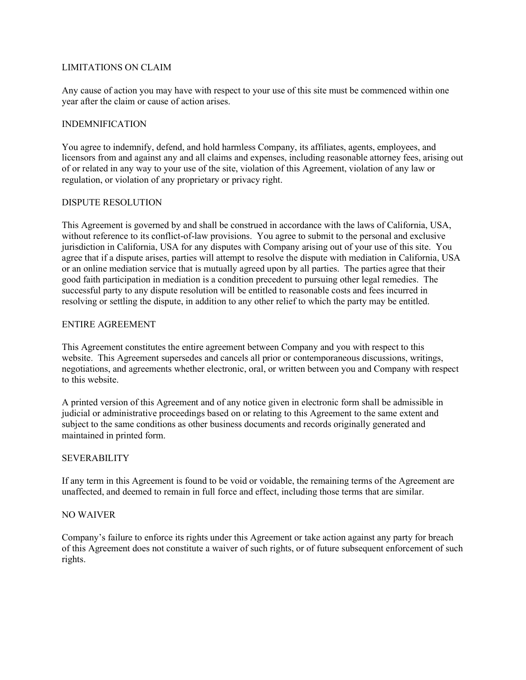### LIMITATIONS ON CLAIM

Any cause of action you may have with respect to your use of this site must be commenced within one year after the claim or cause of action arises.

#### INDEMNIFICATION

You agree to indemnify, defend, and hold harmless Company, its affiliates, agents, employees, and licensors from and against any and all claims and expenses, including reasonable attorney fees, arising out of or related in any way to your use of the site, violation of this Agreement, violation of any law or regulation, or violation of any proprietary or privacy right.

### DISPUTE RESOLUTION

This Agreement is governed by and shall be construed in accordance with the laws of California, USA, without reference to its conflict-of-law provisions. You agree to submit to the personal and exclusive jurisdiction in California, USA for any disputes with Company arising out of your use of this site. You agree that if a dispute arises, parties will attempt to resolve the dispute with mediation in California, USA or an online mediation service that is mutually agreed upon by all parties. The parties agree that their good faith participation in mediation is a condition precedent to pursuing other legal remedies. The successful party to any dispute resolution will be entitled to reasonable costs and fees incurred in resolving or settling the dispute, in addition to any other relief to which the party may be entitled.

### ENTIRE AGREEMENT

This Agreement constitutes the entire agreement between Company and you with respect to this website. This Agreement supersedes and cancels all prior or contemporaneous discussions, writings, negotiations, and agreements whether electronic, oral, or written between you and Company with respect to this website.

A printed version of this Agreement and of any notice given in electronic form shall be admissible in judicial or administrative proceedings based on or relating to this Agreement to the same extent and subject to the same conditions as other business documents and records originally generated and maintained in printed form.

## SEVERABILITY

If any term in this Agreement is found to be void or voidable, the remaining terms of the Agreement are unaffected, and deemed to remain in full force and effect, including those terms that are similar.

#### NO WAIVER

Company's failure to enforce its rights under this Agreement or take action against any party for breach of this Agreement does not constitute a waiver of such rights, or of future subsequent enforcement of such rights.